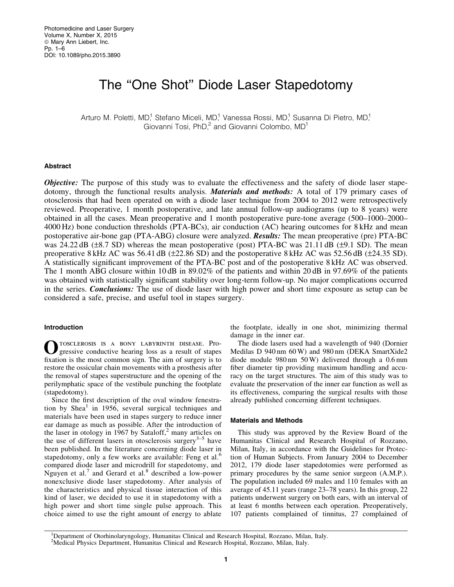# The ''One Shot'' Diode Laser Stapedotomy

Arturo M. Poletti, MD,<sup>1</sup> Stefano Miceli, MD,<sup>1</sup> Vanessa Rossi, MD,<sup>1</sup> Susanna Di Pietro, MD,<sup>1</sup> Giovanni Tosi, PhD,<sup>2</sup> and Giovanni Colombo, MD<sup>1</sup>

## Abstract

**Objective:** The purpose of this study was to evaluate the effectiveness and the safety of diode laser stapedotomy, through the functional results analysis. **Materials and methods:** A total of 179 primary cases of otosclerosis that had been operated on with a diode laser technique from 2004 to 2012 were retrospectively reviewed. Preoperative, 1 month postoperative, and late annual follow-up audiograms (up to 8 years) were obtained in all the cases. Mean preoperative and 1 month postoperative pure-tone average (500–1000–2000– 4000 Hz) bone conduction thresholds (PTA-BCs), air conduction (AC) hearing outcomes for 8 kHz and mean postoperative air-bone gap (PTA-ABG) closure were analyzed. **Results:** The mean preoperative (pre) PTA-BC was 24.22 dB ( $\pm$ 8.7 SD) whereas the mean postoperative (post) PTA-BC was 21.11 dB ( $\pm$ 9.1 SD). The mean preoperative 8 kHz AC was 56.41 dB ( $\pm$ 22.86 SD) and the postoperative 8 kHz AC was 52.56 dB ( $\pm$ 24.35 SD). A statistically significant improvement of the PTA-BC post and of the postoperative 8 kHz AC was observed. The 1 month ABG closure within 10 dB in 89.02% of the patients and within 20 dB in 97.69% of the patients was obtained with statistically significant stability over long-term follow-up. No major complications occurred in the series. **Conclusions:** The use of diode laser with high power and short time exposure as setup can be considered a safe, precise, and useful tool in stapes surgery.

### Introduction

OTOSCLEROSIS IS A BONY LABYRINTH DISEASE. Pro-<br>gressive conductive hearing loss as a result of stapes fixation is the most common sign. The aim of surgery is to restore the ossicular chain movements with a prosthesis after the removal of stapes superstructure and the opening of the perilymphatic space of the vestibule punching the footplate (stapedotomy).

Since the first description of the oval window fenestration by Shea<sup>1</sup> in 1956, several surgical techniques and materials have been used in stapes surgery to reduce inner ear damage as much as possible. After the introduction of the laser in otology in 1967 by Sataloff, $2$  many articles on the use of different lasers in otosclerosis surgery $3-5$  have been published. In the literature concerning diode laser in stapedotomy, only a few works are available: Feng et al.<sup>6</sup> compared diode laser and microdrill for stapedotomy, and Nguyen et al.<sup>7</sup> and Gerard et al.<sup>8</sup> described a low-power nonexclusive diode laser stapedotomy. After analysis of the characteristics and physical tissue interaction of this kind of laser, we decided to use it in stapedotomy with a high power and short time single pulse approach. This choice aimed to use the right amount of energy to ablate the footplate, ideally in one shot, minimizing thermal damage in the inner ear.

The diode lasers used had a wavelength of 940 (Dornier Medilas D 940 nm 60 W) and 980 nm (DEKA SmartXide2 diode module 980 nm 50 W) delivered through a 0.6 mm fiber diameter tip providing maximum handling and accuracy on the target structures. The aim of this study was to evaluate the preservation of the inner ear function as well as its effectiveness, comparing the surgical results with those already published concerning different techniques.

## Materials and Methods

This study was approved by the Review Board of the Humanitas Clinical and Research Hospital of Rozzano, Milan, Italy, in accordance with the Guidelines for Protection of Human Subjects. From January 2004 to December 2012, 179 diode laser stapedotomies were performed as primary procedures by the same senior surgeon (A.M.P.). The population included 69 males and 110 females with an average of 45.11 years (range 23–78 years). In this group, 22 patients underwent surgery on both ears, with an interval of at least 6 months between each operation. Preoperatively, 107 patients complained of tinnitus, 27 complained of

<sup>1</sup>Department of Otorhinolaryngology, Humanitas Clinical and Research Hospital, Rozzano, Milan, Italy. <sup>2</sup>Medical Physics Department, Humanitas Clinical and Research Hospital, Rozzano, Milan, Italy.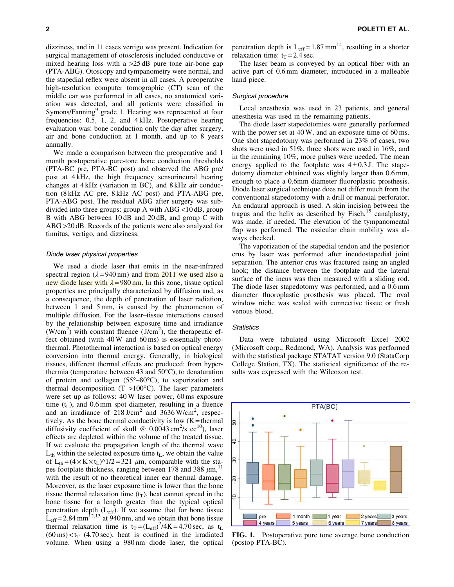dizziness, and in 11 cases vertigo was present. Indication for surgical management of otosclerosis included conductive or mixed hearing loss with a  $>25$  dB pure tone air-bone gap (PTA-ABG). Otoscopy and tympanometry were normal, and the stapedial reflex were absent in all cases. A preoperative high-resolution computer tomographic (CT) scan of the middle ear was performed in all cases, no anatomical variation was detected, and all patients were classified in Symons/Fanning<sup>9</sup> grade 1. Hearing was represented at four frequencies: 0.5, 1, 2, and 4 kHz. Postoperative hearing evaluation was: bone conduction only the day after surgery, air and bone conduction at 1 month, and up to 8 years annually.

We made a comparison between the preoperative and 1 month postoperative pure-tone bone conduction thresholds (PTA-BC pre, PTA-BC post) and observed the ABG pre/ post at 4 kHz, the high frequency sensorineural hearing changes at 4 kHz (variation in BC), and 8 kHz air conduction (8 kHz AC pre, 8 kHz AC post) and PTA-ABG pre, PTA-ABG post. The residual ABG after surgery was subdivided into three groups: group A with ABG <10 dB, group B with ABG between 10 dB and 20 dB, and group C with ABG >20 dB. Records of the patients were also analyzed for tinnitus, vertigo, and dizziness.

#### Diode laser physical properties

We used a diode laser that emits in the near-infrared spectral region ( $\lambda = 940 \text{ nm}$ ) and from 2011 we used also a new diode laser with  $\lambda = 980$  nm. In this zone, tissue optical properties are principally characterized by diffusion and, as a consequence, the depth of penetration of laser radiation, between 1 and 5 mm, is caused by the phenomenon of multiple diffusion. For the laser–tissue interactions caused by the relationship between exposure time and irradiance  $(W/cm<sup>2</sup>)$  with constant fluence  $(U/cm<sup>2</sup>)$ , the therapeutic effect obtained (with 40 W and 60 ms) is essentially photothermal. Photothermal interaction is based on optical energy conversion into thermal energy. Generally, in biological tissues, different thermal effects are produced: from hyperthermia (temperature between 43 and  $50^{\circ}$ C), to denaturation of protein and collagen  $(55^{\circ}-80^{\circ}C)$ , to vaporization and thermal decomposition  $(T > 100^{\circ}C)$ . The laser parameters were set up as follows: 40 W laser power, 60 ms exposure time  $(t<sub>L</sub>)$ , and 0.6 mm spot diameter, resulting in a fluence and an irradiance of  $218 \text{ J/cm}^2$  and  $3636 \text{ W/cm}^2$ , respectively. As the bone thermal conductivity is low  $(K =$  thermal diffusivity coefficient of skull @  $0.0043 \text{ cm}^2/\text{s} \text{ e}^{\text{10}}$ ), laser effects are depleted within the volume of the treated tissue. If we evaluate the propagation length of the thermal wave  $L_{th}$  within the selected exposure time  $t_L$ , we obtain the value of  $L_{th} = (4 \times K \times t_L)^{\hat{ }}1/2 = 321 \mu m$ , comparable with the stapes footplate thickness, ranging between 178 and 388  $\mu$ m, <sup>11</sup> with the result of no theoretical inner ear thermal damage. Moreover, as the laser exposure time is lower than the bone tissue thermal relaxation time  $(t_T)$ , heat cannot spread in the bone tissue for a length greater than the typical optical penetration depth  $(L_{\text{eff}})$ . If we assume that for bone tissue  $L_{\text{eff}}$  = 2.84 mm<sup>12,13</sup> at 940 nm, and we obtain that bone tissue thermal relaxation time is  $t_T = (L_{eff})^2/4K = 4.70$  sec, as  $t_L$  $(60 \text{ ms}) < t_T$  (4.70 sec), heat is confined in the irradiated volume. When using a 980 nm diode laser, the optical penetration depth is  $L_{eff} = 1.87$  mm<sup>14</sup>, resulting in a shorter relaxation time:  $t_T = 2.4$  sec.

The laser beam is conveyed by an optical fiber with an active part of 0.6 mm diameter, introduced in a malleable hand piece.

### Surgical procedure

Local anesthesia was used in 23 patients, and general anesthesia was used in the remaining patients.

The diode laser stapedotomies were generally performed with the power set at 40 W, and an exposure time of 60 ms. One shot stapedotomy was performed in 23% of cases, two shots were used in 51%, three shots were used in 16%, and in the remaining 10%, more pulses were needed. The mean energy applied to the footplate was  $4 \pm 0.3$  J. The stapedotomy diameter obtained was slightly larger than 0.6 mm, enough to place a 0.6mm diameter fluoroplastic prosthesis. Diode laser surgical technique does not differ much from the conventional stapedotomy with a drill or manual perforator. An endaural approach is used. A skin incision between the tragus and the helix as described by Fisch, $15$  canalplasty, was made, if needed. The elevation of the tympanomeatal flap was performed. The ossicular chain mobility was always checked.

The vaporization of the stapedial tendon and the posterior crus by laser was performed after incudostapedial joint separation. The anterior crus was fractured using an angled hook; the distance between the footplate and the lateral surface of the incus was then measured with a sliding rod. The diode laser stapedotomy was performed, and a 0.6 mm diameter fluoroplastic prosthesis was placed. The oval window niche was sealed with connective tissue or fresh venous blood.

#### **Statistics**

Data were tabulated using Microsoft Excel 2002 (Microsoft corp., Redmond, WA). Analysis was performed with the statistical package STATAT version 9.0 (StataCorp College Station, TX). The statistical significance of the results was expressed with the Wilcoxon test.



FIG. 1. Postoperative pure tone average bone conduction (postop PTA-BC).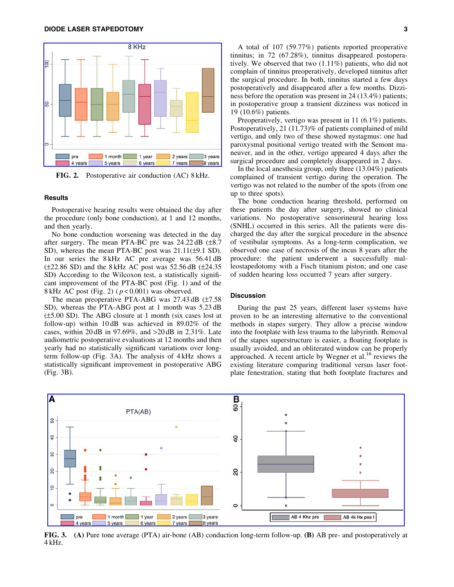

FIG. 2. Postoperative air conduction (AC) 8 kHz.

#### **Results**

Postoperative hearing results were obtained the day after the procedure (only bone conduction), at 1 and 12 months, and then yearly.

No bone conduction worsening was detected in the day after surgery. The mean PTA-BC pre was  $24.22 \text{ dB } (\pm 8.7)$ SD), whereas the mean PTA-BC post was  $21.11(\pm 9.1$  SD). In our series the 8 kHz AC pre average was 56.41 dB  $(\pm 22.86$  SD) and the 8 kHz AC post was 52.56 dB  $(\pm 24.35)$ SD) According to the Wilcoxon test, a statistically significant improvement of the PTA-BC post (Fig. 1) and of the 8 kHz AC post (Fig. 2) ( *p* < 0.001) was observed.

The mean preoperative PTA-ABG was  $27.43$  dB  $(\pm 7.58)$ SD), whereas the PTA-ABG post at 1 month was 5.23 dB  $(\pm 5.00$  SD). The ABG closure at 1 month (six cases lost at follow-up) within 10 dB was achieved in 89.02% of the cases, within 20 dB in 97.69%, and >20 dB in 2.31%. Late audiometric postoperative evaluations at 12 months and then yearly had no statistically significant variations over longterm follow-up (Fig. 3A). The analysis of 4 kHz shows a statistically significant improvement in postoperative ABG (Fig. 3B).

A total of 107 (59.77%) patients reported preoperative tinnitus; in 72 (67.28%), tinnitus disappeared postoperatively. We observed that two (1.11%) patients, who did not complain of tinnitus preoperatively, developed tinnitus after the surgical procedure. In both, tinnitus started a few days postoperatively and disappeared after a few months. Dizziness before the operation was present in 24 (13.4%) patients; in postoperative group a transient dizziness was noticed in 19 (10.6%) patients.

Preoperatively, vertigo was present in 11 (6.1%) patients. Postoperatively, 21 (11.73)% of patients complained of mild vertigo, and only two of these showed nystagmus: one had paroxysmal positional vertigo treated with the Semont maneuver, and in the other, vertigo appeared 4 days after the surgical procedure and completely disappeared in 2 days.

In the local anesthesia group, only three (13.04%) patients complained of transient vertigo during the operation. The vertigo was not related to the number of the spots (from one up to three spots).

The bone conduction hearing threshold, performed on these patients the day after surgery, showed no clinical variations. No postoperative sensorineural hearing loss (SNHL) occurred in this series. All the patients were discharged the day after the surgical procedure in the absence of vestibular symptoms. As a long-term complication, we observed one case of necrosis of the incus 8 years after the procedure: the patient underwent a successfully malleostapedotomy with a Fisch titanium piston; and one case of sudden hearing loss occurred 7 years after surgery.

## **Discussion**

During the past 25 years, different laser systems have proven to be an interesting alternative to the conventional methods in stapes surgery. They allow a precise window into the footplate with less trauma to the labyrinth. Removal of the stapes superstructure is easier, a floating footplate is usually avoided, and an obliterated window can be properly approached. A recent article by Wegner et al. $^{16}$  reviews the existing literature comparing traditional versus laser footplate fenestration, stating that both footplate fractures and



FIG. 3. (A) Pure tone average (PTA) air-bone (AB) conduction long-term follow-up. (B) AB pre- and postoperatively at 4 kHz.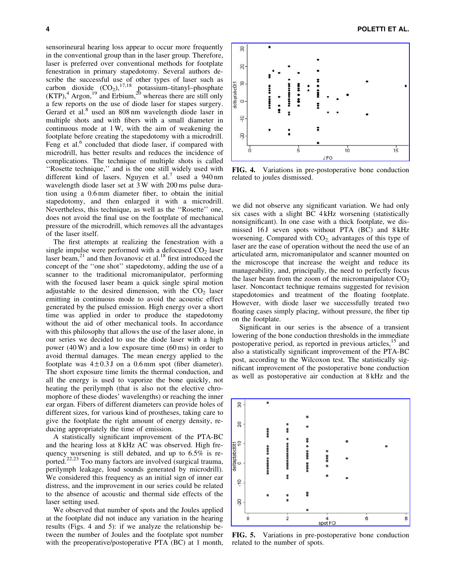sensorineural hearing loss appear to occur more frequently in the conventional group than in the laser group. Therefore, laser is preferred over conventional methods for footplate fenestration in primary stapedotomy. Several authors describe the successful use of other types of laser such as carbon dioxide  $(CO_2)$ ,  $^{17,18}$  potassium–titanyl–phosphate  $(KTP)$ ,<sup>4</sup> Argon,<sup>19</sup> and Erbium,<sup>20</sup> whereas there are still only a few reports on the use of diode laser for stapes surgery. Gerard et al.<sup>8</sup> used an 808 nm wavelength diode laser in multiple shots and with fibers with a small diameter in continuous mode at 1 W, with the aim of weakening the footplate before creating the stapedotomy with a microdrill. Feng et al.<sup>6</sup> concluded that diode laser, if compared with microdrill, has better results and reduces the incidence of complications. The technique of multiple shots is called ''Rosette technique,'' and is the one still widely used with different kind of lasers. Nguyen et al.<sup>7</sup> used a 940 nm wavelength diode laser set at 3 W with 200 ms pulse duration using a 0.6 mm diameter fiber, to obtain the initial stapedotomy, and then enlarged it with a microdrill. Nevertheless, this technique, as well as the ''Rosette'' one, does not avoid the final use on the footplate of mechanical pressure of the microdrill, which removes all the advantages of the laser itself.

The first attempts at realizing the fenestration with a single impulse were performed with a defocused  $CO<sub>2</sub>$  laser laser beam, $21$  and then Jovanovic et al.<sup>18</sup> first introduced the concept of the ''one shot'' stapedotomy, adding the use of a scanner to the traditional micromanipulator, performing with the focused laser beam a quick single spiral motion adjustable to the desired dimension, with the  $CO<sub>2</sub>$  laser emitting in continuous mode to avoid the acoustic effect generated by the pulsed emission. High energy over a short time was applied in order to produce the stapedotomy without the aid of other mechanical tools. In accordance with this philosophy that allows the use of the laser alone, in our series we decided to use the diode laser with a high power (40 W) and a low exposure time (60 ms) in order to avoid thermal damages. The mean energy applied to the footplate was  $4 \pm 0.3$  J on a 0.6 mm spot (fiber diameter). The short exposure time limits the thermal conduction, and all the energy is used to vaporize the bone quickly, not heating the perilymph (that is also not the elective chromophore of these diodes' wavelengths) or reaching the inner ear organ. Fibers of different diameters can provide holes of different sizes, for various kind of prostheses, taking care to give the footplate the right amount of energy density, reducing appropriately the time of emission.

A statistically significant improvement of the PTA-BC and the hearing loss at 8 kHz AC was observed. High frequency worsening is still debated, and up to 6.5% is reported.22,23 Too many factors are involved (surgical trauma, perilymph leakage, loud sounds generated by microdrill). We considered this frequency as an initial sign of inner ear distress, and the improvement in our series could be related to the absence of acoustic and thermal side effects of the laser setting used.

We observed that number of spots and the Joules applied at the footplate did not induce any variation in the hearing results (Figs. 4 and 5): if we analyze the relationship between the number of Joules and the footplate spot number with the preoperative/postoperative PTA (BC) at 1 month,



FIG. 4. Variations in pre-postoperative bone conduction related to joules dismissed.

we did not observe any significant variation. We had only six cases with a slight BC 4 kHz worsening (statistically nonsignificant). In one case with a thick footplate, we dismissed 16 J seven spots without PTA  $(BC)$  and  $8kHz$ worsening. Compared with  $CO<sub>2</sub>$  advantages of this type of laser are the ease of operation without the need the use of an articulated arm, micromanipulator and scanner mounted on the microscope that increase the weight and reduce its manageability, and, principally, the need to perfectly focus the laser beam from the zoom of the micromanipulator  $CO<sub>2</sub>$ laser. Noncontact technique remains suggested for revision stapedotomies and treatment of the floating footplate. However, with diode laser we successfully treated two floating cases simply placing, without pressure, the fiber tip on the footplate.

Significant in our series is the absence of a transient lowering of the bone conduction thresholds in the immediate postoperative period, as reported in previous articles, <sup>15</sup> and also a statistically significant improvement of the PTA-BC post, according to the Wilcoxon test. The statistically significant improvement of the postoperative bone conduction as well as postoperative air conduction at 8 kHz and the



FIG. 5. Variations in pre-postoperative bone conduction related to the number of spots.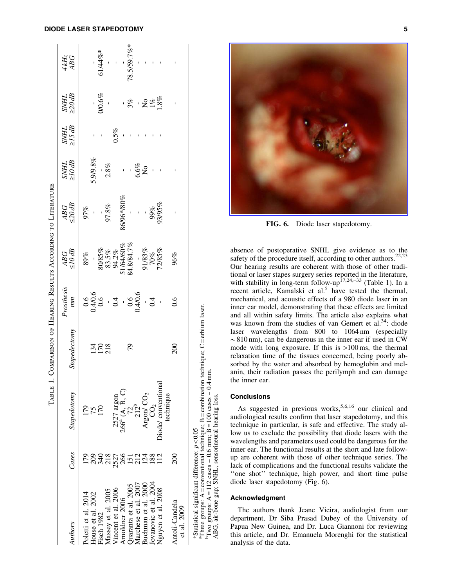# DIODE LASER STAPEDOTOMY 5

|                                                 |             |                                                                    | TABLE 1. COMPARISON OF HEARING RESULTS ACCORDING TO LITERATURE |                                        |                                                                         |                                       |              |                    |                       |                    |
|-------------------------------------------------|-------------|--------------------------------------------------------------------|----------------------------------------------------------------|----------------------------------------|-------------------------------------------------------------------------|---------------------------------------|--------------|--------------------|-----------------------|--------------------|
| Authors                                         | Cases       | Stapedotomy                                                        | Stapedectomy                                                   | Prosthesis<br>mn                       | $\frac{ABG}{10\,dB}$                                                    | $\frac{ABC}{\leq20\,dB}$              | <b>THINS</b> | THINS<br>712<br>12 | SNHL<br>220dB         | $\frac{4kHz}{ABC}$ |
| Poletti et al. $2014$                           | 179         | 179<br>75<br>170                                                   |                                                                | $0.40.6$<br>0.40.6<br>0.40.6<br>0.40.6 | $89\%$                                                                  | 978%<br>-<br>97.8%                    |              |                    |                       |                    |
| House et al. 2002                               |             |                                                                    |                                                                |                                        |                                                                         |                                       | $5.9/9.8\%$  |                    |                       |                    |
| Fisch 1982                                      |             |                                                                    | 152<br>178                                                     |                                        |                                                                         |                                       |              |                    | $\frac{1}{200.6\%}$   | $61/44\%$ *        |
| Massey et al. 2005                              |             |                                                                    |                                                                |                                        |                                                                         |                                       | $-2.8\%$     |                    |                       |                    |
| Vincent et al. 2006                             |             |                                                                    |                                                                |                                        |                                                                         |                                       |              | 0.5%               |                       |                    |
| Arnoldner 2006                                  |             |                                                                    |                                                                |                                        |                                                                         |                                       | ï            |                    |                       |                    |
| puaranta et al. 2005                            |             | 2527 argon<br>266 <sup>a</sup> (A, B, C)<br>72<br>212 <sup>b</sup> | 79                                                             |                                        |                                                                         |                                       |              |                    | $-\frac{8}{3}$ $-288$ | 78.5/59.7%*        |
| Aarchese et al. 2007                            |             |                                                                    |                                                                |                                        |                                                                         |                                       |              |                    |                       |                    |
| Buchman et al. 2000                             |             |                                                                    |                                                                |                                        |                                                                         |                                       | $6.6\%$ No   |                    |                       |                    |
| Jovanovic et al. 2004                           |             | Argon/ $CO2$ $CO2$                                                 |                                                                | $\frac{1}{1}$                          |                                                                         |                                       |              |                    |                       |                    |
| Nguyen et al. 2008                              | $^{12}$     | Diode/conventional<br>technique                                    |                                                                |                                        | 80785%<br>83.5%<br>94.2%<br>51/64/60%<br>84.8/84.7%<br>91/83%<br>91/85% | 86/96*/80%<br>-<br>-<br>99%<br>93/95% |              |                    |                       |                    |
| Antoli-Candela<br>et al. 2009                   | $\approx 0$ |                                                                    | 200                                                            | 0.6                                    | 96%                                                                     |                                       |              |                    |                       |                    |
| *Statistical significant difference: $p < 0.05$ |             |                                                                    |                                                                |                                        |                                                                         |                                       |              |                    |                       |                    |

FIG. 6. Diode laser stapedotomy.

absence of postoperative SNHL give evidence as to the safety of the procedure itself, according to other authors.<sup>22,23</sup> Our hearing results are coherent with those of other traditional or laser stapes surgery series reported in the literature, with stability in long-term follow-up<sup>17,24,–33</sup> (Table 1). In a recent article, Kamalski et al.<sup>5</sup> have tested the thermal, mechanical, and acoustic effects of a 980 diode laser in an inner ear model, demonstrating that these effects are limited and all within safety limits. The article also explains what was known from the studies of van Gemert et  $al^{34}$ : diode laser wavelengths from 800 to 1064 nm (especially  $\sim$ 810 nm), can be dangerous in the inner ear if used in CW mode with long exposure. If this is >100 ms, the thermal relaxation time of the tissues concerned, being poorly absorbed by the water and absorbed by hemoglobin and melanin, their radiation passes the perilymph and can damage the inner ear.

## Conclusions

As suggested in previous works,  $5,6,16$  our clinical and audiological results confirm that laser stapedotomy, and this technique in particular, is safe and effective. The study allow us to exclude the possibility that diode lasers with the wavelengths and parameters used could be dangerous for the inner ear. The functional results at the short and late followup are coherent with those of other technique series. The lack of complications and the functional results validate the "one shot" technique, high power, and short time pulse diode laser stapedotomy (Fig. 6).

# Acknowledgment

aThree groups: A

bTwo groups: A

=

conventional technique; B

 $= 112 \text{ cases} - 0.6 \text{ mm}$ ; B

ABG, air-bone gap; SNHL, sensorineural hearing loss.

combination technique; C

 $= 100 \text{ cases} - 0.4 \text{ mm}.$ 

erbium laser.

The authors thank Jeane Vieira, audiologist from our department, Dr Siba Prasad Dubey of the University of Papua New Guinea, and Dr. Luca Giannoni for reviewing this article, and Dr. Emanuela Morenghi for the statistical analysis of the data.